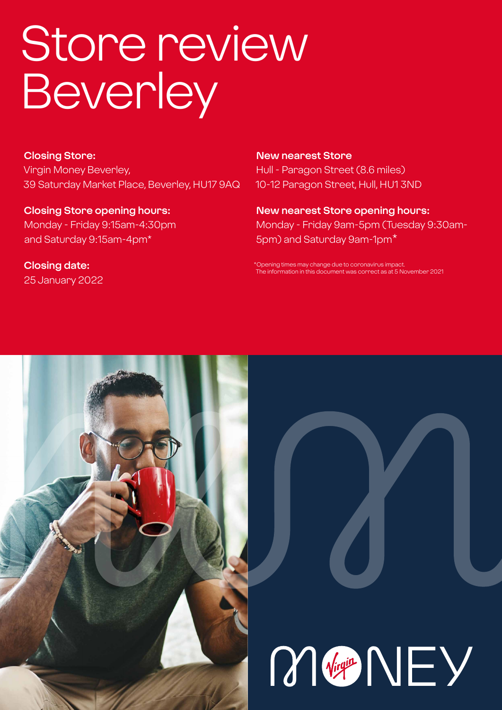# Store review Beverley

**Closing Store:** Virgin Money Beverley, 39 Saturday Market Place, Beverley, HU17 9AQ

**Closing Store opening hours:**  Monday - Friday 9:15am-4:30pm and Saturday 9:15am-4pm\*

**Closing date:**  25 January 2022

### **New nearest Store** Hull - Paragon Street (8.6 miles) 10-12 Paragon Street, Hull, HU1 3ND

**New nearest Store opening hours:** Monday - Friday 9am-5pm (Tuesday 9:30am-5pm) and Saturday 9am-1pm\*

\*Opening times may change due to coronavirus imp The information in this document was correct as at 5 November 2021



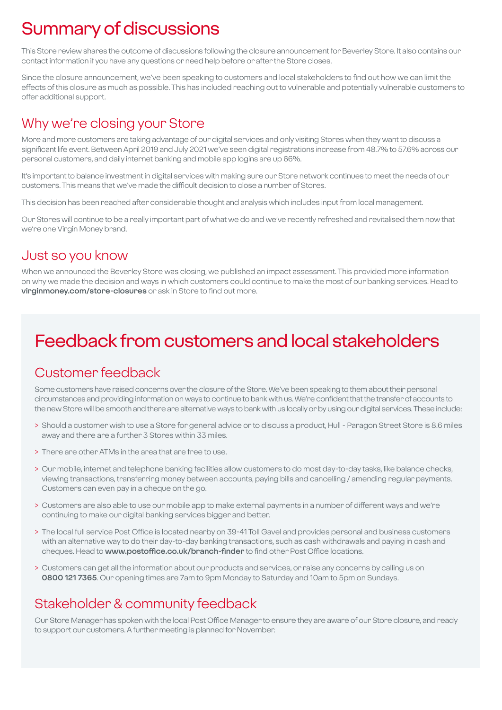# Summary of discussions

This Store review shares the outcome of discussions following the closure announcement for Beverley Store. It also contains our contact information if you have any questions or need help before or after the Store closes.

Since the closure announcement, we've been speaking to customers and local stakeholders to find out how we can limit the effects of this closure as much as possible. This has included reaching out to vulnerable and potentially vulnerable customers to offer additional support.

### Why we're closing your Store

More and more customers are taking advantage of our digital services and only visiting Stores when they want to discuss a significant life event. Between April 2019 and July 2021 we've seen digital registrations increase from 48.7% to 57.6% across our personal customers, and daily internet banking and mobile app logins are up 66%.

It's important to balance investment in digital services with making sure our Store network continues to meet the needs of our customers. This means that we've made the difficult decision to close a number of Stores.

This decision has been reached after considerable thought and analysis which includes input from local management.

Our Stores will continue to be a really important part of what we do and we've recently refreshed and revitalised them now that we're one Virgin Money brand.

### Just so you know

When we announced the Beverley Store was closing, we published an impact assessment. This provided more information on why we made the decision and ways in which customers could continue to make the most of our banking services. Head to **virginmoney.com/store-closures** or ask in Store to find out more.

# Feedback from customers and local stakeholders

### Customer feedback

Some customers have raised concerns over the closure of the Store. We've been speaking to them about their personal circumstances and providing information on ways to continue to bank with us. We're confident that the transfer of accounts to the new Store will be smooth and there are alternative ways to bank with us locally or by using our digital services. These include:

- > Should a customer wish to use a Store for general advice or to discuss a product, Hull Paragon Street Store is 8.6 miles away and there are a further 3 Stores within 33 miles.
- > There are other ATMs in the area that are free to use.
- > Our mobile, internet and telephone banking facilities allow customers to do most day-to-day tasks, like balance checks, viewing transactions, transferring money between accounts, paying bills and cancelling / amending regular payments. Customers can even pay in a cheque on the go.
- > Customers are also able to use our mobile app to make external payments in a number of different ways and we're continuing to make our digital banking services bigger and better.
- > The local full service Post Office is located nearby on 39-41 Toll Gavel and provides personal and business customers with an alternative way to do their day-to-day banking transactions, such as cash withdrawals and paying in cash and cheques. Head to **www.postoffice.co.uk/branch-finder** to find other Post Office locations.
- > Customers can get all the information about our products and services, or raise any concerns by calling us on **0800 121 7365**. Our opening times are 7am to 9pm Monday to Saturday and 10am to 5pm on Sundays.

### Stakeholder & community feedback

Our Store Manager has spoken with the local Post Office Manager to ensure they are aware of our Store closure, and ready to support our customers. A further meeting is planned for November.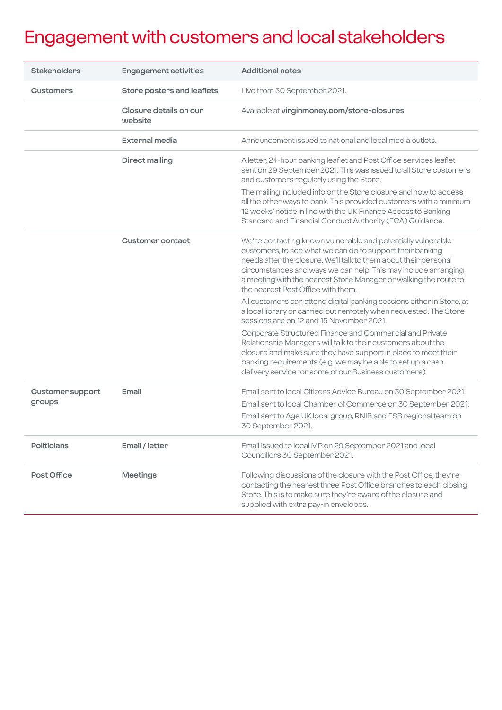# Engagement with customers and local stakeholders

| <b>Stakeholders</b>               | <b>Engagement activities</b>      | <b>Additional notes</b>                                                                                                                                                                                                                                                                                                                                                   |
|-----------------------------------|-----------------------------------|---------------------------------------------------------------------------------------------------------------------------------------------------------------------------------------------------------------------------------------------------------------------------------------------------------------------------------------------------------------------------|
| <b>Customers</b>                  | Store posters and leaflets        | Live from 30 September 2021.                                                                                                                                                                                                                                                                                                                                              |
|                                   | Closure details on our<br>website | Available at virginmoney.com/store-closures                                                                                                                                                                                                                                                                                                                               |
|                                   | External media                    | Announcement issued to national and local media outlets.                                                                                                                                                                                                                                                                                                                  |
|                                   | <b>Direct mailing</b>             | A letter, 24-hour banking leaflet and Post Office services leaflet<br>sent on 29 September 2021. This was issued to all Store customers<br>and customers regularly using the Store.                                                                                                                                                                                       |
|                                   |                                   | The mailing included info on the Store closure and how to access<br>all the other ways to bank. This provided customers with a minimum<br>12 weeks' notice in line with the UK Finance Access to Banking<br>Standard and Financial Conduct Authority (FCA) Guidance.                                                                                                      |
|                                   | <b>Customer contact</b>           | We're contacting known vulnerable and potentially vulnerable<br>customers, to see what we can do to support their banking<br>needs after the closure. We'll talk to them about their personal<br>circumstances and ways we can help. This may include arranging<br>a meeting with the nearest Store Manager or walking the route to<br>the nearest Post Office with them. |
|                                   |                                   | All customers can attend digital banking sessions either in Store, at<br>a local library or carried out remotely when requested. The Store<br>sessions are on 12 and 15 November 2021.                                                                                                                                                                                    |
|                                   |                                   | Corporate Structured Finance and Commercial and Private<br>Relationship Managers will talk to their customers about the<br>closure and make sure they have support in place to meet their<br>banking requirements (e.g. we may be able to set up a cash<br>delivery service for some of our Business customers).                                                          |
| <b>Customer support</b><br>groups | Email                             | Email sent to local Citizens Advice Bureau on 30 September 2021.<br>Email sent to local Chamber of Commerce on 30 September 2021.<br>Email sent to Age UK local group, RNIB and FSB regional team on<br>30 September 2021.                                                                                                                                                |
| <b>Politicians</b>                | Email / letter                    | Email issued to local MP on 29 September 2021 and local<br>Councillors 30 September 2021.                                                                                                                                                                                                                                                                                 |
| Post Office                       | <b>Meetings</b>                   | Following discussions of the closure with the Post Office, they're<br>contacting the nearest three Post Office branches to each closing<br>Store. This is to make sure they're aware of the closure and<br>supplied with extra pay-in envelopes.                                                                                                                          |